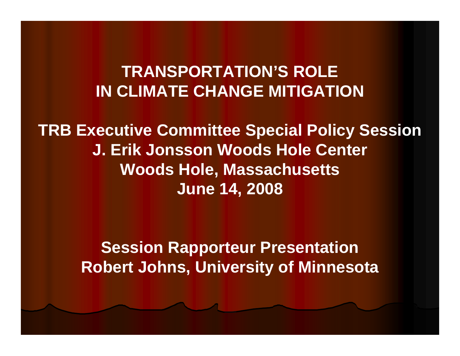#### **TRANSPORTATION'S ROLE IN CLIMATE CHANGE MITIGATION**

**TRB Executive Committee Special Policy Session J. Erik Jonsson Woods Hole Center Woods Hole, Massachusetts June 14, 2008**

> **Session Rapporteur Presentation Robert Johns, University of Minnesota**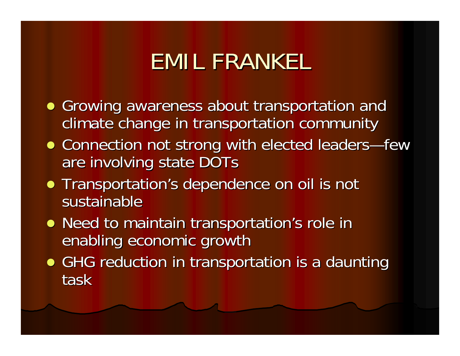# **EMIL FRANKEL**

- Growing awareness about transportation and climate change in transportation community
- Connection not strong with elected leaders—few are involving state DOTs
- Transportation's dependence on oil is not sustainable
- Need to maintain transportation's role in enabling economic growth
- GHG reduction in transportation is a daunting task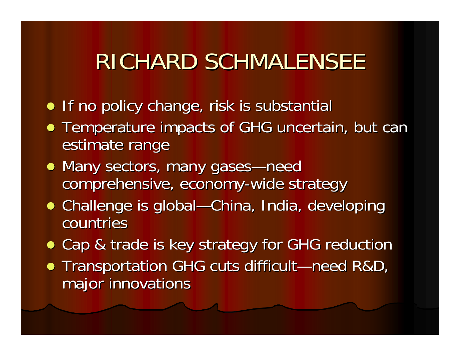## RICHARD SCHMALENSEE

- **•** If no policy change, risk is substantial
- Temperature impacts of GHG uncertain, but can estimate range
- Many sectors, many gases—need comprehensive, economy-wide strategy
- Challenge is global—China, India, developing countries
- Cap & trade is key strategy for GHG reduction
- Transportation GHG cuts difficult—need R&D, major innovations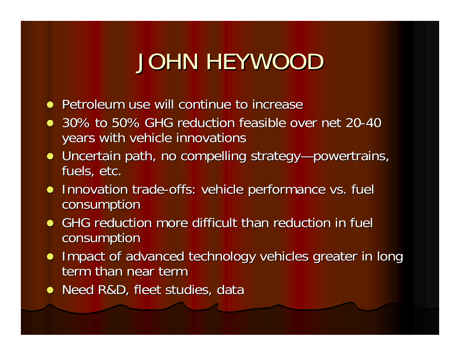# JOHN HEYWOOD

- Petroleum use will continue to increase
- 30% to 50% GHG reduction feasible over net 20-40 years with vehicle innovations years with vehicle innovations
- Uncertain path, no compelling strategy—powertrains, fuels, etc.
- Innovation trade-offs: vehicle performance vs. fuel consumption consumption
- GHG reduction more difficult than reduction in fuel **consumption**
- Impact of advanced technology vehicles greater in long term than near term
- Need R&D, fleet studies, data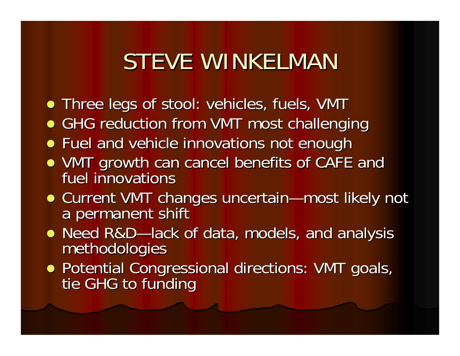# STEVE WINKELMAN

- $\bullet$  Three legs of stool: vehicles, fuels, VMT
- **GHG reduction from VMT most challenging**
- **•** Fuel and vehicle innovations not enough
- VMT growth can cancel benefits of CAFE and fuel innovations fuel innovations
- Current VMT changes uncertain—most likely not a permanent shift a permanent shift and a permanent shift and a
- Need R&D Need R&D—lack of data, models, and analysis l<br>methodologies
- Potential Congressional directions: VMT goals, tie GHG to funding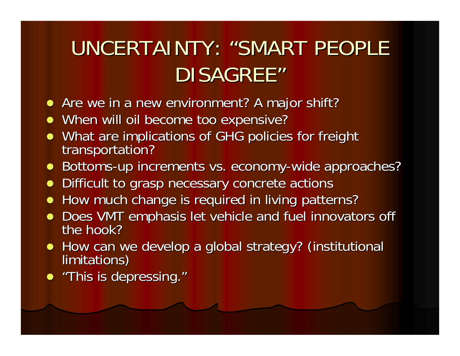## UNCERTAINTY: "SMART PEOPLE" DISAGREE"

- Are we in a new environment? A major shift?
- When will oil become too expensive?
- What are implications of GHG policies for freight transportation?
- Bottoms-up increments vs. economy-wide approaches?
- Difficult to grasp necessary concrete actions
- How much change is required in living patterns?
- $\bullet$ Does VMT emphasis let vehicle and fuel innovators off the hook?
- How can we develop a global strategy? (institutional limitations)
- "This is depressing."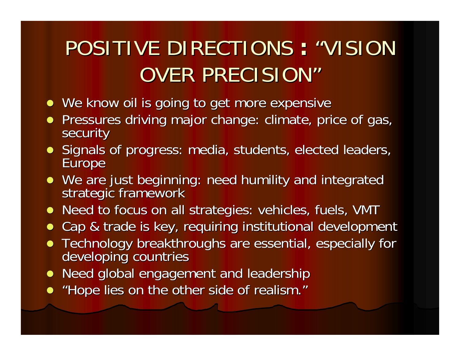#### POSITIVE DIRECTIONS : "VISION **:**OVER PRECISION"

- We know oil is going to get more expensive
- Pressures driving major change: climate, price of gas, security
- Signals of progress: media, students, elected leaders, Europe
- We are just beginning: need humility and integrated strategic framework
- Need to focus on all strategies: vehicles, fuels, VMT
- Cap & trade is key, requiring institutional development
- Technology breakthroughs are essential, especially for developing countries
- Need global engagement and leadership
- "Hope lies on the other side of realism."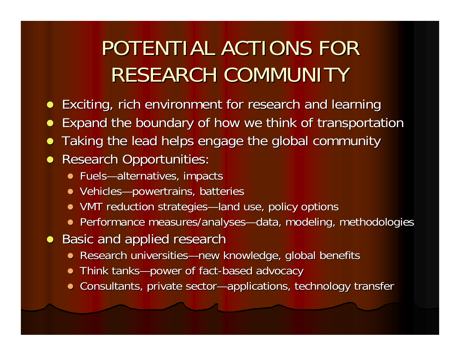## POTENTIAL ACTIONS FOR RESEARCH COMMUNITY

- **•** Exciting, rich environment for research and learning
- $\bullet$ Expand the boundary of how we think of transportation
- $\bullet$ Taking the lead helps engage the global community Taking the lead helps engage the global community

#### $\bullet$ Research Opportunities:

- Fuels—alternatives, impacts
- Vehicles—powertrains, batteries
- VMT reduction strategies—land use, policy options
- Performance measures/analyses—data, modeling, methodologies
- Basic and applied research
	- Research universities—new knowledge, global benefits
	- $\bullet$ • Think tanks—power of fact-based advocacy
	- Consultants, private sector—applications, technology transfer